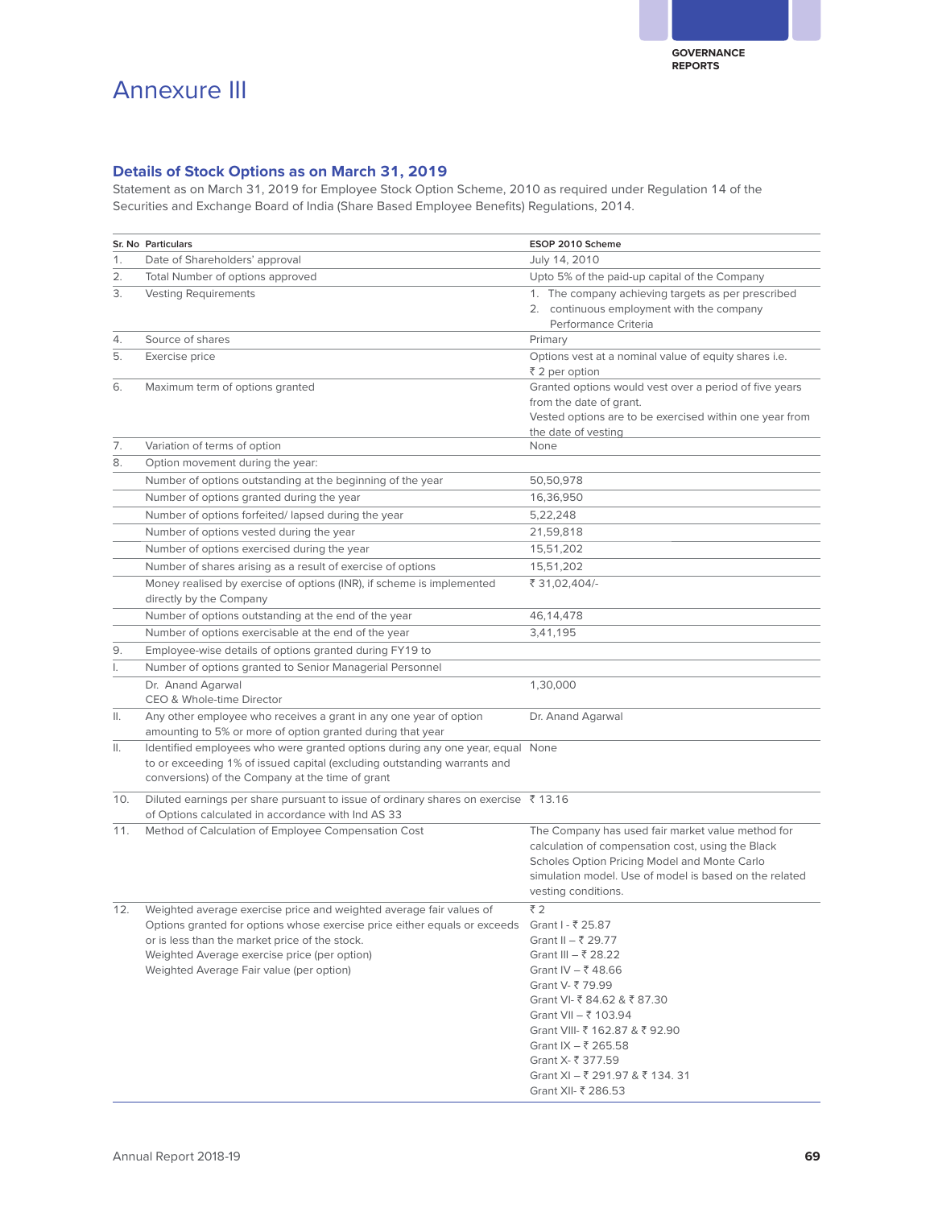## Annexure III

## **Details of Stock Options as on March 31, 2019**

Statement as on March 31, 2019 for Employee Stock Option Scheme, 2010 as required under Regulation 14 of the Securities and Exchange Board of India (Share Based Employee Benefits) Regulations, 2014.

|     | Sr. No Particulars                                                                                                                                                                                                                                                                                               | ESOP 2010 Scheme                                                                                                                                                                                                                                                                       |
|-----|------------------------------------------------------------------------------------------------------------------------------------------------------------------------------------------------------------------------------------------------------------------------------------------------------------------|----------------------------------------------------------------------------------------------------------------------------------------------------------------------------------------------------------------------------------------------------------------------------------------|
| 1.  | Date of Shareholders' approval                                                                                                                                                                                                                                                                                   | July 14, 2010                                                                                                                                                                                                                                                                          |
| 2.  | Total Number of options approved                                                                                                                                                                                                                                                                                 | Upto 5% of the paid-up capital of the Company                                                                                                                                                                                                                                          |
| 3.  | <b>Vesting Requirements</b>                                                                                                                                                                                                                                                                                      | 1. The company achieving targets as per prescribed<br>2. continuous employment with the company<br>Performance Criteria                                                                                                                                                                |
| 4.  | Source of shares                                                                                                                                                                                                                                                                                                 | Primary                                                                                                                                                                                                                                                                                |
| 5.  | Exercise price                                                                                                                                                                                                                                                                                                   | Options vest at a nominal value of equity shares i.e.<br>₹ 2 per option                                                                                                                                                                                                                |
| 6.  | Maximum term of options granted                                                                                                                                                                                                                                                                                  | Granted options would vest over a period of five years<br>from the date of grant.<br>Vested options are to be exercised within one year from<br>the date of vesting                                                                                                                    |
| 7.  | Variation of terms of option                                                                                                                                                                                                                                                                                     | None                                                                                                                                                                                                                                                                                   |
| 8.  | Option movement during the year:                                                                                                                                                                                                                                                                                 |                                                                                                                                                                                                                                                                                        |
|     | Number of options outstanding at the beginning of the year                                                                                                                                                                                                                                                       | 50,50,978                                                                                                                                                                                                                                                                              |
|     | Number of options granted during the year                                                                                                                                                                                                                                                                        | 16,36,950                                                                                                                                                                                                                                                                              |
|     | Number of options forfeited/lapsed during the year                                                                                                                                                                                                                                                               | 5,22,248                                                                                                                                                                                                                                                                               |
|     | Number of options vested during the year                                                                                                                                                                                                                                                                         | 21,59,818                                                                                                                                                                                                                                                                              |
|     | Number of options exercised during the year                                                                                                                                                                                                                                                                      | 15,51,202                                                                                                                                                                                                                                                                              |
|     | Number of shares arising as a result of exercise of options                                                                                                                                                                                                                                                      | 15,51,202                                                                                                                                                                                                                                                                              |
|     | Money realised by exercise of options (INR), if scheme is implemented<br>directly by the Company                                                                                                                                                                                                                 | ₹ 31,02,404/-                                                                                                                                                                                                                                                                          |
|     | Number of options outstanding at the end of the year                                                                                                                                                                                                                                                             | 46, 14, 478                                                                                                                                                                                                                                                                            |
|     | Number of options exercisable at the end of the year                                                                                                                                                                                                                                                             | 3.41.195                                                                                                                                                                                                                                                                               |
| 9.  | Employee-wise details of options granted during FY19 to                                                                                                                                                                                                                                                          |                                                                                                                                                                                                                                                                                        |
| I.  | Number of options granted to Senior Managerial Personnel                                                                                                                                                                                                                                                         |                                                                                                                                                                                                                                                                                        |
|     | Dr. Anand Agarwal                                                                                                                                                                                                                                                                                                | 1,30,000                                                                                                                                                                                                                                                                               |
|     | CEO & Whole-time Director                                                                                                                                                                                                                                                                                        |                                                                                                                                                                                                                                                                                        |
| ΙΙ. | Any other employee who receives a grant in any one year of option<br>amounting to 5% or more of option granted during that year                                                                                                                                                                                  | Dr. Anand Agarwal                                                                                                                                                                                                                                                                      |
| ΙΙ. | Identified employees who were granted options during any one year, equal None<br>to or exceeding 1% of issued capital (excluding outstanding warrants and<br>conversions) of the Company at the time of grant                                                                                                    |                                                                                                                                                                                                                                                                                        |
| 10. | Diluted earnings per share pursuant to issue of ordinary shares on exercise ₹13.16<br>of Options calculated in accordance with Ind AS 33                                                                                                                                                                         |                                                                                                                                                                                                                                                                                        |
| 11. | Method of Calculation of Employee Compensation Cost                                                                                                                                                                                                                                                              | The Company has used fair market value method for<br>calculation of compensation cost, using the Black<br>Scholes Option Pricing Model and Monte Carlo<br>simulation model. Use of model is based on the related<br>vesting conditions.                                                |
| 12. | Weighted average exercise price and weighted average fair values of<br>Options granted for options whose exercise price either equals or exceeds Grant I - ₹ 25.87<br>or is less than the market price of the stock.<br>Weighted Average exercise price (per option)<br>Weighted Average Fair value (per option) | ₹2<br>Grant II – ₹ 29.77<br>Grant III – ₹ 28.22<br>Grant IV – ₹48.66<br>Grant V- ₹ 79.99<br>Grant VI- ₹ 84.62 & ₹ 87.30<br>Grant VII - ₹ 103.94<br>Grant VIII- ₹ 162.87 & ₹ 92.90<br>Grant IX – ₹ 265.58<br>Grant X- ₹ 377.59<br>Grant XI - ₹ 291.97 & ₹ 134.31<br>Grant XII- ₹ 286.53 |